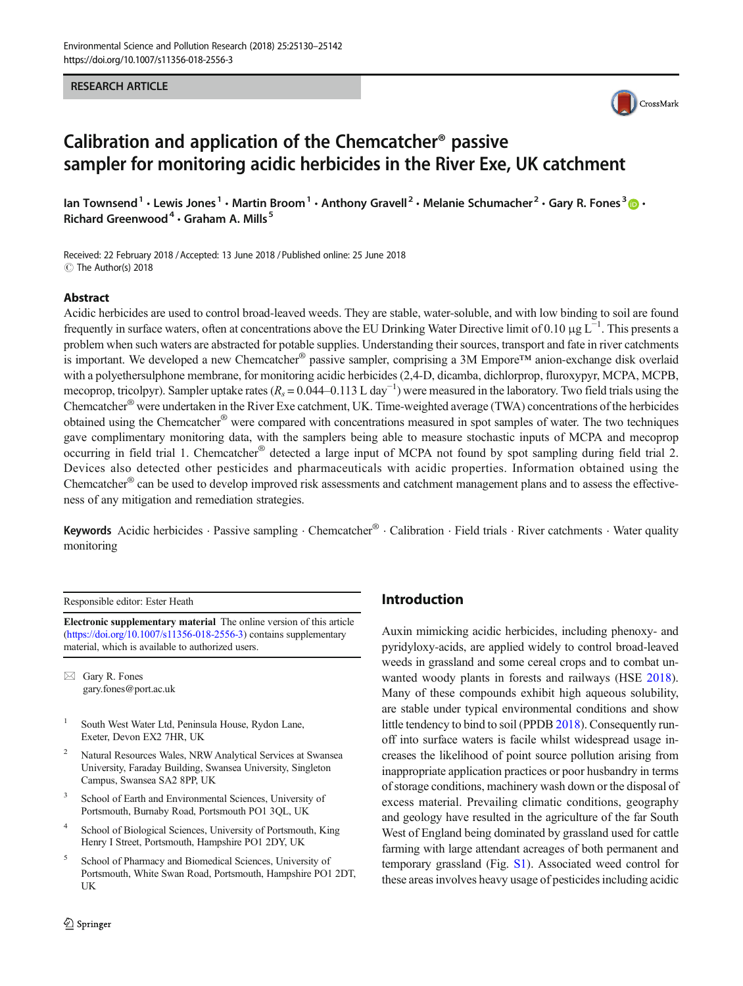#### RESEARCH ARTICLE



# Calibration and application of the Chemcatcher® passive sampler for monitoring acidic herbicides in the River Exe, UK catchment

Ian Townsend<sup>1</sup> • Lewis Jones<sup>1</sup> • Martin Broom<sup>1</sup> • Anthony Gravell<sup>2</sup> • Melanie Schumacher<sup>2</sup> • Gary R. Fones<sup>3</sup>  $\bullet$  • Richard Greenwood<sup>4</sup>  $\cdot$  Graham A. Mills<sup>5</sup>

Received: 22 February 2018 /Accepted: 13 June 2018 /Published online: 25 June 2018  $\circledcirc$  The Author(s) 2018

#### Abstract

Acidic herbicides are used to control broad-leaved weeds. They are stable, water-soluble, and with low binding to soil are found frequently in surface waters, often at concentrations above the EU Drinking Water Directive limit of 0.10 µg L<sup>-1</sup>. This presents a problem when such waters are abstracted for potable supplies. Understanding their sources, transport and fate in river catchments is important. We developed a new Chemcatcher® passive sampler, comprising a 3M Empore™ anion-exchange disk overlaid with a polyethersulphone membrane, for monitoring acidic herbicides (2,4-D, dicamba, dichlorprop, fluroxypyr, MCPA, MCPB, mecoprop, tricolpyr). Sampler uptake rates ( $R_s = 0.044-0.113$  L day<sup>-1</sup>) were measured in the laboratory. Two field trials using the Chemcatcher® were undertaken in the River Exe catchment, UK. Time-weighted average (TWA) concentrations of the herbicides obtained using the Chemcatcher® were compared with concentrations measured in spot samples of water. The two techniques gave complimentary monitoring data, with the samplers being able to measure stochastic inputs of MCPA and mecoprop occurring in field trial 1. Chemcatcher® detected a large input of MCPA not found by spot sampling during field trial 2. Devices also detected other pesticides and pharmaceuticals with acidic properties. Information obtained using the Chemcatcher® can be used to develop improved risk assessments and catchment management plans and to assess the effectiveness of any mitigation and remediation strategies.

Keywords Acidic herbicides · Passive sampling · Chemcatcher® · Calibration · Field trials · River catchments · Water quality monitoring

Responsible editor: Ester Heath

Electronic supplementary material The online version of this article (<https://doi.org/10.1007/s11356-018-2556-3>) contains supplementary material, which is available to authorized users.

 $\boxtimes$  Gary R. Fones [gary.fones@port.ac.uk](mailto:gary.fones@port.ac.uk)

<sup>1</sup> South West Water Ltd, Peninsula House, Rydon Lane, Exeter, Devon EX2 7HR, UK

- <sup>2</sup> Natural Resources Wales, NRW Analytical Services at Swansea University, Faraday Building, Swansea University, Singleton Campus, Swansea SA2 8PP, UK
- <sup>3</sup> School of Earth and Environmental Sciences, University of Portsmouth, Burnaby Road, Portsmouth PO1 3QL, UK
- School of Biological Sciences, University of Portsmouth, King Henry I Street, Portsmouth, Hampshire PO1 2DY, UK
- <sup>5</sup> School of Pharmacy and Biomedical Sciences, University of Portsmouth, White Swan Road, Portsmouth, Hampshire PO1 2DT, UK

# Introduction

Auxin mimicking acidic herbicides, including phenoxy- and pyridyloxy-acids, are applied widely to control broad-leaved weeds in grassland and some cereal crops and to combat unwanted woody plants in forests and railways (HSE [2018\)](#page-11-0). Many of these compounds exhibit high aqueous solubility, are stable under typical environmental conditions and show little tendency to bind to soil (PPDB [2018](#page-12-0)). Consequently runoff into surface waters is facile whilst widespread usage increases the likelihood of point source pollution arising from inappropriate application practices or poor husbandry in terms of storage conditions, machinery wash down or the disposal of excess material. Prevailing climatic conditions, geography and geology have resulted in the agriculture of the far South West of England being dominated by grassland used for cattle farming with large attendant acreages of both permanent and temporary grassland (Fig. S1). Associated weed control for these areas involves heavy usage of pesticides including acidic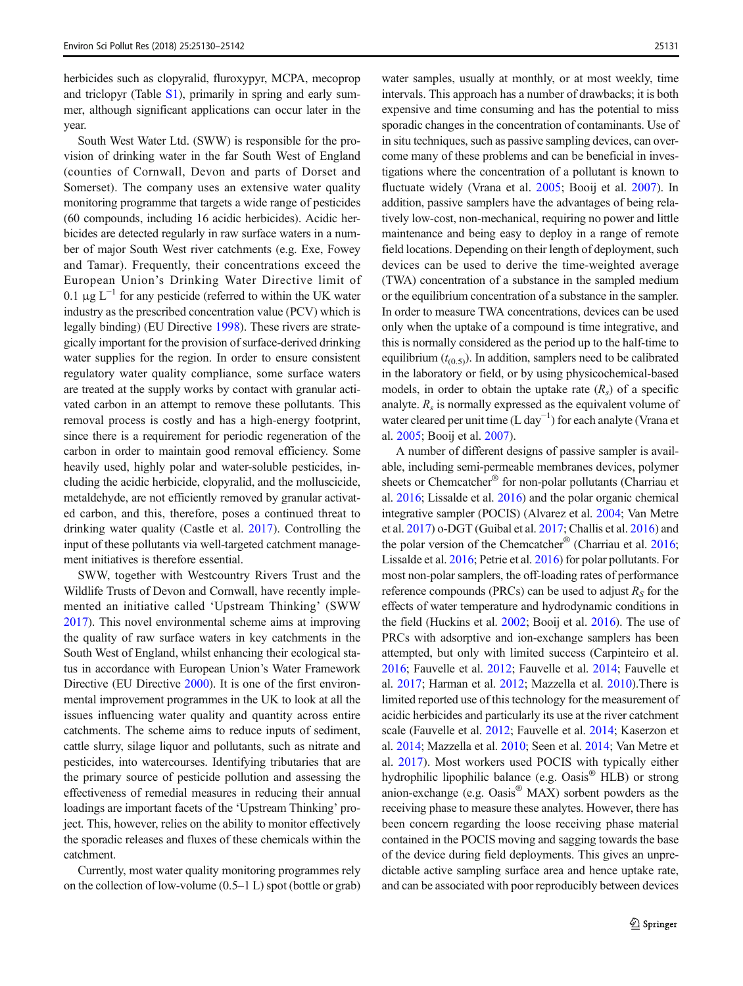herbicides such as clopyralid, fluroxypyr, MCPA, mecoprop and triclopyr (Table S1), primarily in spring and early summer, although significant applications can occur later in the year.

South West Water Ltd. (SWW) is responsible for the provision of drinking water in the far South West of England (counties of Cornwall, Devon and parts of Dorset and Somerset). The company uses an extensive water quality monitoring programme that targets a wide range of pesticides (60 compounds, including 16 acidic herbicides). Acidic herbicides are detected regularly in raw surface waters in a number of major South West river catchments (e.g. Exe, Fowey and Tamar). Frequently, their concentrations exceed the European Union's Drinking Water Directive limit of 0.1  $\mu$ g L<sup>-1</sup> for any pesticide (referred to within the UK water industry as the prescribed concentration value (PCV) which is legally binding) (EU Directive [1998](#page-11-0)). These rivers are strategically important for the provision of surface-derived drinking water supplies for the region. In order to ensure consistent regulatory water quality compliance, some surface waters are treated at the supply works by contact with granular activated carbon in an attempt to remove these pollutants. This removal process is costly and has a high-energy footprint, since there is a requirement for periodic regeneration of the carbon in order to maintain good removal efficiency. Some heavily used, highly polar and water-soluble pesticides, including the acidic herbicide, clopyralid, and the molluscicide, metaldehyde, are not efficiently removed by granular activated carbon, and this, therefore, poses a continued threat to drinking water quality (Castle et al. [2017](#page-11-0)). Controlling the input of these pollutants via well-targeted catchment management initiatives is therefore essential.

SWW, together with Westcountry Rivers Trust and the Wildlife Trusts of Devon and Cornwall, have recently implemented an initiative called 'Upstream Thinking' (SWW [2017\)](#page-12-0). This novel environmental scheme aims at improving the quality of raw surface waters in key catchments in the South West of England, whilst enhancing their ecological status in accordance with European Union's Water Framework Directive (EU Directive [2000\)](#page-11-0). It is one of the first environmental improvement programmes in the UK to look at all the issues influencing water quality and quantity across entire catchments. The scheme aims to reduce inputs of sediment, cattle slurry, silage liquor and pollutants, such as nitrate and pesticides, into watercourses. Identifying tributaries that are the primary source of pesticide pollution and assessing the effectiveness of remedial measures in reducing their annual loadings are important facets of the 'Upstream Thinking' project. This, however, relies on the ability to monitor effectively the sporadic releases and fluxes of these chemicals within the catchment.

Currently, most water quality monitoring programmes rely on the collection of low-volume  $(0.5-1 L)$  spot (bottle or grab) water samples, usually at monthly, or at most weekly, time intervals. This approach has a number of drawbacks; it is both expensive and time consuming and has the potential to miss sporadic changes in the concentration of contaminants. Use of in situ techniques, such as passive sampling devices, can overcome many of these problems and can be beneficial in investigations where the concentration of a pollutant is known to fluctuate widely (Vrana et al. [2005;](#page-12-0) Booij et al. [2007\)](#page-11-0). In addition, passive samplers have the advantages of being relatively low-cost, non-mechanical, requiring no power and little maintenance and being easy to deploy in a range of remote field locations. Depending on their length of deployment, such devices can be used to derive the time-weighted average (TWA) concentration of a substance in the sampled medium or the equilibrium concentration of a substance in the sampler. In order to measure TWA concentrations, devices can be used only when the uptake of a compound is time integrative, and this is normally considered as the period up to the half-time to equilibrium  $(t_{(0.5)})$ . In addition, samplers need to be calibrated in the laboratory or field, or by using physicochemical-based models, in order to obtain the uptake rate  $(R_s)$  of a specific analyte.  $R<sub>s</sub>$  is normally expressed as the equivalent volume of water cleared per unit time (L day<sup>-1</sup>) for each analyte (Vrana et al. [2005;](#page-12-0) Booij et al. [2007](#page-11-0)).

A number of different designs of passive sampler is available, including semi-permeable membranes devices, polymer sheets or Chemcatcher<sup>®</sup> for non-polar pollutants (Charriau et al. [2016;](#page-11-0) Lissalde et al. [2016\)](#page-12-0) and the polar organic chemical integrative sampler (POCIS) (Alvarez et al. [2004;](#page-11-0) Van Metre et al. [2017\)](#page-12-0) o-DGT (Guibal et al. [2017;](#page-11-0) Challis et al. [2016](#page-11-0)) and the polar version of the Chemcatcher® (Charriau et al. [2016;](#page-11-0) Lissalde et al. [2016;](#page-12-0) Petrie et al. [2016](#page-12-0)) for polar pollutants. For most non-polar samplers, the off-loading rates of performance reference compounds (PRCs) can be used to adjust  $R<sub>S</sub>$  for the effects of water temperature and hydrodynamic conditions in the field (Huckins et al. [2002;](#page-11-0) Booij et al. [2016\)](#page-11-0). The use of PRCs with adsorptive and ion-exchange samplers has been attempted, but only with limited success (Carpinteiro et al. [2016;](#page-11-0) Fauvelle et al. [2012](#page-11-0); Fauvelle et al. [2014;](#page-11-0) Fauvelle et al. [2017](#page-11-0); Harman et al. [2012](#page-11-0); Mazzella et al. [2010\)](#page-12-0).There is limited reported use of this technology for the measurement of acidic herbicides and particularly its use at the river catchment scale (Fauvelle et al. [2012](#page-11-0); Fauvelle et al. [2014](#page-11-0); Kaserzon et al. [2014;](#page-12-0) Mazzella et al. [2010](#page-12-0); Seen et al. [2014;](#page-12-0) Van Metre et al. [2017](#page-12-0)). Most workers used POCIS with typically either hydrophilic lipophilic balance (e.g. Oasis<sup>®</sup> HLB) or strong anion-exchange (e.g. Oasis® MAX) sorbent powders as the receiving phase to measure these analytes. However, there has been concern regarding the loose receiving phase material contained in the POCIS moving and sagging towards the base of the device during field deployments. This gives an unpredictable active sampling surface area and hence uptake rate, and can be associated with poor reproducibly between devices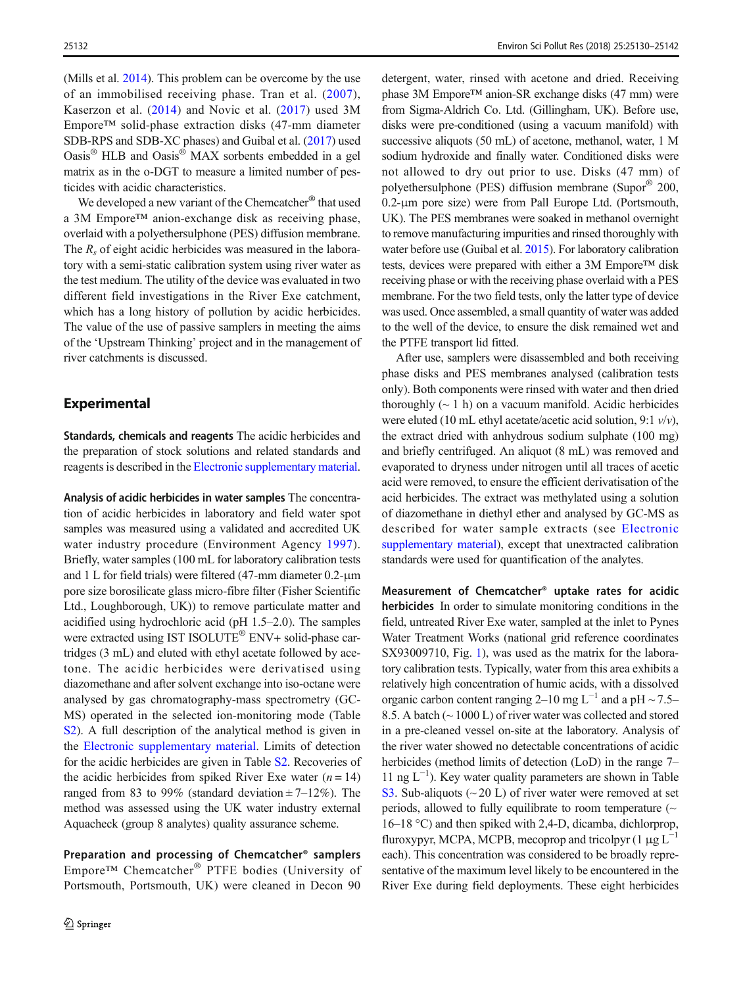(Mills et al. [2014\)](#page-12-0). This problem can be overcome by the use of an immobilised receiving phase. Tran et al. ([2007](#page-12-0)), Kaserzon et al. ([2014](#page-12-0)) and Novic et al. ([2017](#page-12-0)) used 3M Empore™ solid-phase extraction disks (47-mm diameter SDB-RPS and SDB-XC phases) and Guibal et al. [\(2017\)](#page-11-0) used Oasis® HLB and Oasis® MAX sorbents embedded in a gel matrix as in the o-DGT to measure a limited number of pesticides with acidic characteristics.

We developed a new variant of the Chemcatcher® that used a 3M Empore™ anion-exchange disk as receiving phase, overlaid with a polyethersulphone (PES) diffusion membrane. The  $R_s$  of eight acidic herbicides was measured in the laboratory with a semi-static calibration system using river water as the test medium. The utility of the device was evaluated in two different field investigations in the River Exe catchment, which has a long history of pollution by acidic herbicides. The value of the use of passive samplers in meeting the aims of the 'Upstream Thinking' project and in the management of river catchments is discussed.

## Experimental

Standards, chemicals and reagents The acidic herbicides and the preparation of stock solutions and related standards and reagents is described in the Electronic supplementary material.

Analysis of acidic herbicides in water samples The concentration of acidic herbicides in laboratory and field water spot samples was measured using a validated and accredited UK water industry procedure (Environment Agency [1997](#page-11-0)). Briefly, water samples (100 mL for laboratory calibration tests and 1 L for field trials) were filtered (47-mm diameter 0.2-μm pore size borosilicate glass micro-fibre filter (Fisher Scientific Ltd., Loughborough, UK)) to remove particulate matter and acidified using hydrochloric acid (pH 1.5–2.0). The samples were extracted using IST ISOLUTE® ENV+ solid-phase cartridges (3 mL) and eluted with ethyl acetate followed by acetone. The acidic herbicides were derivatised using diazomethane and after solvent exchange into iso-octane were analysed by gas chromatography-mass spectrometry (GC-MS) operated in the selected ion-monitoring mode (Table S2). A full description of the analytical method is given in the Electronic supplementary material. Limits of detection for the acidic herbicides are given in Table S2. Recoveries of the acidic herbicides from spiked River Exe water  $(n = 14)$ ranged from 83 to 99% (standard deviation  $\pm$  7–12%). The method was assessed using the UK water industry external Aquacheck (group 8 analytes) quality assurance scheme.

Preparation and processing of Chemcatcher® samplers Empore™ Chemcatcher® PTFE bodies (University of Portsmouth, Portsmouth, UK) were cleaned in Decon 90

detergent, water, rinsed with acetone and dried. Receiving phase 3M Empore™ anion-SR exchange disks (47 mm) were from Sigma-Aldrich Co. Ltd. (Gillingham, UK). Before use, disks were pre-conditioned (using a vacuum manifold) with successive aliquots (50 mL) of acetone, methanol, water, 1 M sodium hydroxide and finally water. Conditioned disks were not allowed to dry out prior to use. Disks (47 mm) of polyethersulphone (PES) diffusion membrane (Supor® 200, 0.2-μm pore size) were from Pall Europe Ltd. (Portsmouth, UK). The PES membranes were soaked in methanol overnight to remove manufacturing impurities and rinsed thoroughly with water before use (Guibal et al. [2015](#page-11-0)). For laboratory calibration tests, devices were prepared with either a 3M Empore™ disk receiving phase or with the receiving phase overlaid with a PES membrane. For the two field tests, only the latter type of device was used. Once assembled, a small quantity of water was added to the well of the device, to ensure the disk remained wet and the PTFE transport lid fitted.

After use, samplers were disassembled and both receiving phase disks and PES membranes analysed (calibration tests only). Both components were rinsed with water and then dried thoroughly  $($   $\sim$  1 h) on a vacuum manifold. Acidic herbicides were eluted (10 mL ethyl acetate/acetic acid solution, 9:1  $v/v$ ), the extract dried with anhydrous sodium sulphate (100 mg) and briefly centrifuged. An aliquot (8 mL) was removed and evaporated to dryness under nitrogen until all traces of acetic acid were removed, to ensure the efficient derivatisation of the acid herbicides. The extract was methylated using a solution of diazomethane in diethyl ether and analysed by GC-MS as described for water sample extracts (see Electronic supplementary material), except that unextracted calibration standards were used for quantification of the analytes.

Measurement of Chemcatcher® uptake rates for acidic herbicides In order to simulate monitoring conditions in the field, untreated River Exe water, sampled at the inlet to Pynes Water Treatment Works (national grid reference coordinates SX93009710, Fig. [1](#page-3-0)), was used as the matrix for the laboratory calibration tests. Typically, water from this area exhibits a relatively high concentration of humic acids, with a dissolved organic carbon content ranging 2–10 mg L<sup>-1</sup> and a pH ~ 7.5– 8.5. A batch (~ 1000 L) of river water was collected and stored in a pre-cleaned vessel on-site at the laboratory. Analysis of the river water showed no detectable concentrations of acidic herbicides (method limits of detection (LoD) in the range 7– 11 ng L−<sup>1</sup> ). Key water quality parameters are shown in Table S3. Sub-aliquots ( $\sim$  20 L) of river water were removed at set periods, allowed to fully equilibrate to room temperature  $($ 16–18 °C) and then spiked with 2,4-D, dicamba, dichlorprop, fluroxypyr, MCPA, MCPB, mecoprop and tricolpyr  $(1 \mu g L^{-1})$ each). This concentration was considered to be broadly representative of the maximum level likely to be encountered in the River Exe during field deployments. These eight herbicides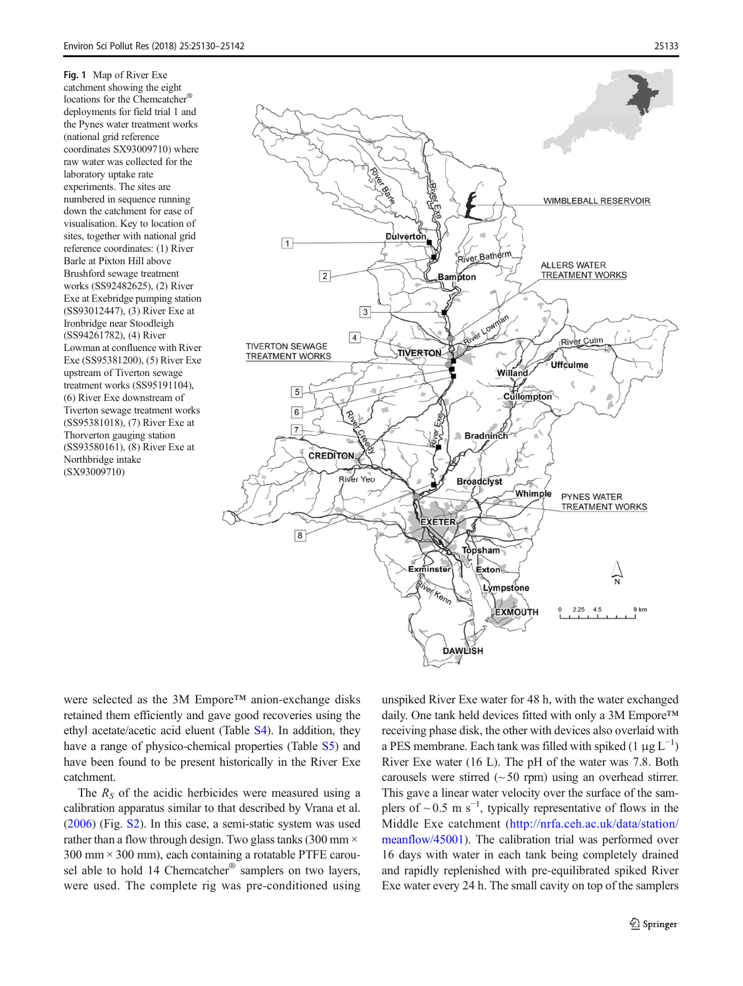<span id="page-3-0"></span>Fig. 1 Map of River Exe catchment showing the eight locations for the Chemcatcher® deployments for field trial 1 and the Pynes water treatment works (national grid reference coordinates SX93009710) where raw water was collected for the laboratory uptake rate experiments. The sites are numbered in sequence running down the catchment for ease of visualisation. Key to location of sites, together with national grid reference coordinates: (1) River Barle at Pixton Hill above Brushford sewage treatment works (SS92482625), (2) River Exe at Exebridge pumping station (SS93012447), (3) River Exe at Ironbridge near Stoodleigh (SS94261782), (4) River Lowman at confluence with River Exe (SS95381200), (5) River Exe upstream of Tiverton sewage treatment works (SS95191104), (6) River Exe downstream of Tiverton sewage treatment works (SS95381018), (7) River Exe at Thorverton gauging station (SS93580161), (8) River Exe at Northbridge intake (SX93009710)



were selected as the 3M Empore™ anion-exchange disks retained them efficiently and gave good recoveries using the ethyl acetate/acetic acid eluent (Table S4). In addition, they have a range of physico-chemical properties (Table S5) and have been found to be present historically in the River Exe catchment.

The  $R<sub>S</sub>$  of the acidic herbicides were measured using a calibration apparatus similar to that described by Vrana et al. [\(2006\)](#page-12-0) (Fig. S2). In this case, a semi-static system was used rather than a flow through design. Two glass tanks (300 mm  $\times$  $300 \text{ mm} \times 300 \text{ mm}$ , each containing a rotatable PTFE carousel able to hold 14 Chemcatcher® samplers on two layers, were used. The complete rig was pre-conditioned using

unspiked River Exe water for 48 h, with the water exchanged daily. One tank held devices fitted with only a 3M Empore™ receiving phase disk, the other with devices also overlaid with a PES membrane. Each tank was filled with spiked (1 μg  $L^{-1}$ ) River Exe water (16 L). The pH of the water was 7.8. Both carousels were stirred  $(~50$  rpm) using an overhead stirrer. This gave a linear water velocity over the surface of the samplers of  $\sim$  0.5 m s<sup>-1</sup>, typically representative of flows in the Middle Exe catchment ([http://nrfa.ceh.ac.uk/data/station/](http://nrfa.ceh.ac.uk/data/station/meanflow/45001) [meanflow/45001](http://nrfa.ceh.ac.uk/data/station/meanflow/45001)). The calibration trial was performed over 16 days with water in each tank being completely drained and rapidly replenished with pre-equilibrated spiked River Exe water every 24 h. The small cavity on top of the samplers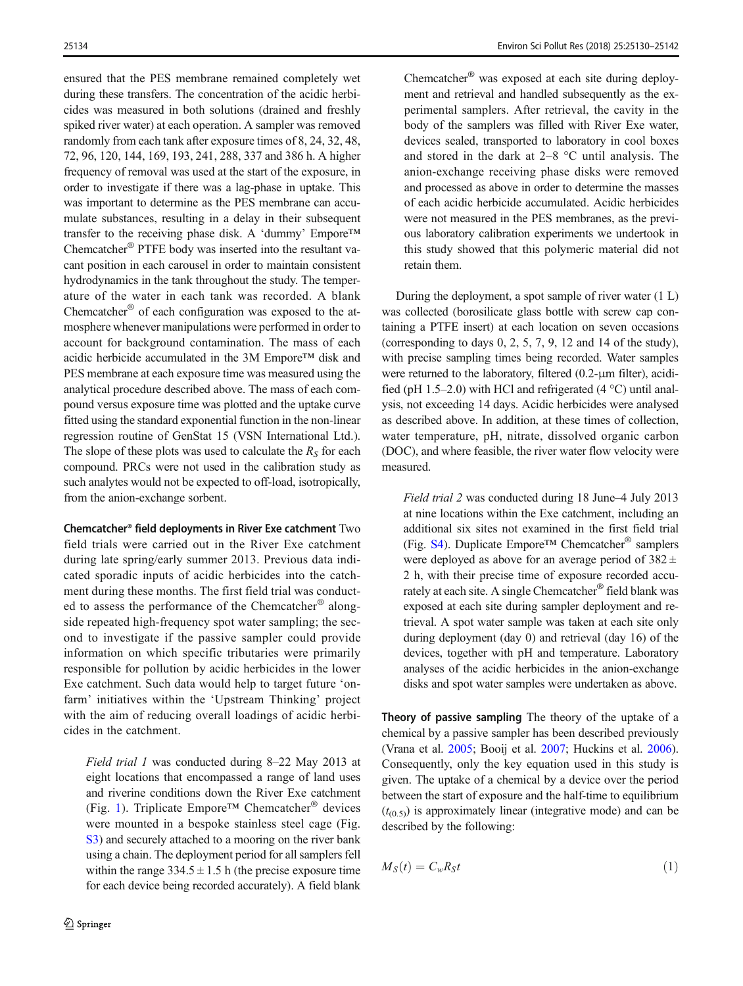<span id="page-4-0"></span>ensured that the PES membrane remained completely wet during these transfers. The concentration of the acidic herbicides was measured in both solutions (drained and freshly spiked river water) at each operation. A sampler was removed randomly from each tank after exposure times of 8, 24, 32, 48, 72, 96, 120, 144, 169, 193, 241, 288, 337 and 386 h. A higher frequency of removal was used at the start of the exposure, in order to investigate if there was a lag-phase in uptake. This was important to determine as the PES membrane can accumulate substances, resulting in a delay in their subsequent transfer to the receiving phase disk. A 'dummy' Empore™ Chemcatcher® PTFE body was inserted into the resultant vacant position in each carousel in order to maintain consistent hydrodynamics in the tank throughout the study. The temperature of the water in each tank was recorded. A blank Chemcatcher® of each configuration was exposed to the atmosphere whenever manipulations were performed in order to account for background contamination. The mass of each acidic herbicide accumulated in the 3M Empore™ disk and PES membrane at each exposure time was measured using the analytical procedure described above. The mass of each compound versus exposure time was plotted and the uptake curve fitted using the standard exponential function in the non-linear regression routine of GenStat 15 (VSN International Ltd.). The slope of these plots was used to calculate the  $R<sub>S</sub>$  for each compound. PRCs were not used in the calibration study as such analytes would not be expected to off-load, isotropically, from the anion-exchange sorbent.

Chemcatcher® field deployments in River Exe catchment Two field trials were carried out in the River Exe catchment during late spring/early summer 2013. Previous data indicated sporadic inputs of acidic herbicides into the catchment during these months. The first field trial was conducted to assess the performance of the Chemcatcher® alongside repeated high-frequency spot water sampling; the second to investigate if the passive sampler could provide information on which specific tributaries were primarily responsible for pollution by acidic herbicides in the lower Exe catchment. Such data would help to target future 'onfarm' initiatives within the 'Upstream Thinking' project with the aim of reducing overall loadings of acidic herbicides in the catchment.

Field trial 1 was conducted during 8–22 May 2013 at eight locations that encompassed a range of land uses and riverine conditions down the River Exe catchment (Fig. [1](#page-3-0)). Triplicate Empore™ Chemcatcher® devices were mounted in a bespoke stainless steel cage (Fig. S3) and securely attached to a mooring on the river bank using a chain. The deployment period for all samplers fell within the range  $334.5 \pm 1.5$  h (the precise exposure time for each device being recorded accurately). A field blank Chemcatcher® was exposed at each site during deployment and retrieval and handled subsequently as the experimental samplers. After retrieval, the cavity in the body of the samplers was filled with River Exe water, devices sealed, transported to laboratory in cool boxes and stored in the dark at 2–8 °C until analysis. The anion-exchange receiving phase disks were removed and processed as above in order to determine the masses of each acidic herbicide accumulated. Acidic herbicides were not measured in the PES membranes, as the previous laboratory calibration experiments we undertook in this study showed that this polymeric material did not retain them.

During the deployment, a spot sample of river water (1 L) was collected (borosilicate glass bottle with screw cap containing a PTFE insert) at each location on seven occasions (corresponding to days 0, 2, 5, 7, 9, 12 and 14 of the study), with precise sampling times being recorded. Water samples were returned to the laboratory, filtered (0.2-μm filter), acidified (pH 1.5–2.0) with HCl and refrigerated (4  $^{\circ}$ C) until analysis, not exceeding 14 days. Acidic herbicides were analysed as described above. In addition, at these times of collection, water temperature, pH, nitrate, dissolved organic carbon (DOC), and where feasible, the river water flow velocity were measured.

Field trial 2 was conducted during 18 June–4 July 2013 at nine locations within the Exe catchment, including an additional six sites not examined in the first field trial (Fig. S4). Duplicate Empore™ Chemcatcher® samplers were deployed as above for an average period of  $382 \pm$ 2 h, with their precise time of exposure recorded accurately at each site. A single Chemcatcher® field blank was exposed at each site during sampler deployment and retrieval. A spot water sample was taken at each site only during deployment (day 0) and retrieval (day 16) of the devices, together with pH and temperature. Laboratory analyses of the acidic herbicides in the anion-exchange disks and spot water samples were undertaken as above.

Theory of passive sampling The theory of the uptake of a chemical by a passive sampler has been described previously (Vrana et al. [2005;](#page-12-0) Booij et al. [2007](#page-11-0); Huckins et al. [2006\)](#page-11-0). Consequently, only the key equation used in this study is given. The uptake of a chemical by a device over the period between the start of exposure and the half-time to equilibrium  $(t_{(0.5)})$  is approximately linear (integrative mode) and can be described by the following:

$$
M_S(t) = C_w R_S t \tag{1}
$$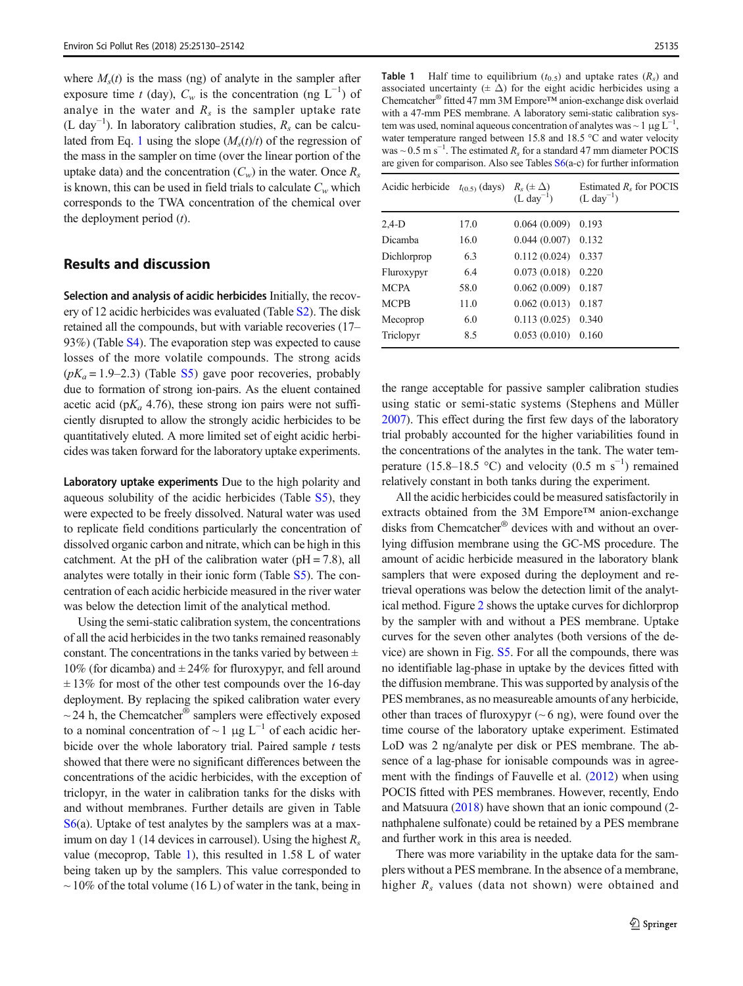<span id="page-5-0"></span>where  $M<sub>s</sub>(t)$  is the mass (ng) of analyte in the sampler after exposure time t (day),  $C_w$  is the concentration (ng L<sup>-1</sup>) of analye in the water and  $R_s$  is the sampler uptake rate (L day<sup>-1</sup>). In laboratory calibration studies,  $R_s$  can be calcu-lated from Eq. [1](#page-4-0) using the slope  $(M_s(t)/t)$  of the regression of the mass in the sampler on time (over the linear portion of the uptake data) and the concentration  $(C_w)$  in the water. Once  $R_s$ is known, this can be used in field trials to calculate  $C_w$  which corresponds to the TWA concentration of the chemical over the deployment period  $(t)$ .

## Results and discussion

Selection and analysis of acidic herbicides Initially, the recovery of 12 acidic herbicides was evaluated (Table S2). The disk retained all the compounds, but with variable recoveries (17– 93%) (Table S4). The evaporation step was expected to cause losses of the more volatile compounds. The strong acids  $(pK_a = 1.9-2.3)$  (Table S5) gave poor recoveries, probably due to formation of strong ion-pairs. As the eluent contained acetic acid ( $pK_a$  4.76), these strong ion pairs were not sufficiently disrupted to allow the strongly acidic herbicides to be quantitatively eluted. A more limited set of eight acidic herbicides was taken forward for the laboratory uptake experiments.

Laboratory uptake experiments Due to the high polarity and aqueous solubility of the acidic herbicides (Table S5), they were expected to be freely dissolved. Natural water was used to replicate field conditions particularly the concentration of dissolved organic carbon and nitrate, which can be high in this catchment. At the pH of the calibration water ( $pH = 7.8$ ), all analytes were totally in their ionic form (Table S5). The concentration of each acidic herbicide measured in the river water was below the detection limit of the analytical method.

Using the semi-static calibration system, the concentrations of all the acid herbicides in the two tanks remained reasonably constant. The concentrations in the tanks varied by between  $\pm$ 10% (for dicamba) and  $\pm 24\%$  for fluroxypyr, and fell around  $\pm$  13% for most of the other test compounds over the 16-day deployment. By replacing the spiked calibration water every  $\sim$  24 h, the Chemcatcher<sup>®</sup> samplers were effectively exposed to a nominal concentration of ~ 1  $\mu$ g L<sup>-1</sup> of each acidic herbicide over the whole laboratory trial. Paired sample  $t$  tests showed that there were no significant differences between the concentrations of the acidic herbicides, with the exception of triclopyr, in the water in calibration tanks for the disks with and without membranes. Further details are given in Table S6(a). Uptake of test analytes by the samplers was at a maximum on day 1 (14 devices in carrousel). Using the highest  $R_s$ value (mecoprop, Table 1), this resulted in 1.58 L of water being taken up by the samplers. This value corresponded to  $\sim$  10% of the total volume (16 L) of water in the tank, being in

**Table 1** Half time to equilibrium  $(t_{0.5})$  and uptake rates  $(R_s)$  and associated uncertainty ( $\pm \Delta$ ) for the eight acidic herbicides using a Chemcatcher® fitted 47 mm 3M Empore™ anion-exchange disk overlaid with a 47-mm PES membrane. A laboratory semi-static calibration system was used, nominal aqueous concentration of analytes was  $\sim 1 \mu g L^{-1}$ , water temperature ranged between 15.8 and 18.5 °C and water velocity was ~  $0.5 \text{ m s}^{-1}$ . The estimated  $R_s$  for a standard 47 mm diameter POCIS are given for comparison. Also see Tables  $S6(a-c)$  for further information

| Acidic herbicide | $t_{(0.5)}$ (days) $R_s$ ( $\pm \Delta$ ) | $(L \, \text{day}^{-1})$ | Estimated $Rs$ for POCIS<br>$(L day^{-1})$ |
|------------------|-------------------------------------------|--------------------------|--------------------------------------------|
| $2.4-D$          | 17.0                                      | 0.064(0.009)             | 0.193                                      |
| Dicamba          | 16.0                                      | 0.044(0.007)             | 0.132                                      |
| Dichlorprop      | 6.3                                       | 0.112(0.024)             | 0.337                                      |
| Fluroxypyr       | 6.4                                       | 0.073(0.018)             | 0.220                                      |
| <b>MCPA</b>      | 58.0                                      | 0.062(0.009)             | 0.187                                      |
| <b>MCPB</b>      | 11.0                                      | 0.062(0.013)             | 0.187                                      |
| Mecoprop         | 6.0                                       | 0.113(0.025)             | 0.340                                      |
| Triclopyr        | 8.5                                       | 0.053(0.010)             | 0.160                                      |

the range acceptable for passive sampler calibration studies using static or semi-static systems (Stephens and Müller [2007\)](#page-12-0). This effect during the first few days of the laboratory trial probably accounted for the higher variabilities found in the concentrations of the analytes in the tank. The water temperature (15.8–18.5 °C) and velocity (0.5 m s<sup>-1</sup>) remained relatively constant in both tanks during the experiment.

All the acidic herbicides could be measured satisfactorily in extracts obtained from the 3M Empore™ anion-exchange disks from Chemcatcher® devices with and without an overlying diffusion membrane using the GC-MS procedure. The amount of acidic herbicide measured in the laboratory blank samplers that were exposed during the deployment and retrieval operations was below the detection limit of the analytical method. Figure [2](#page-6-0) shows the uptake curves for dichlorprop by the sampler with and without a PES membrane. Uptake curves for the seven other analytes (both versions of the device) are shown in Fig. S5. For all the compounds, there was no identifiable lag-phase in uptake by the devices fitted with the diffusion membrane. This was supported by analysis of the PES membranes, as no measureable amounts of any herbicide, other than traces of fluroxypyr  $($   $\sim$  6 ng), were found over the time course of the laboratory uptake experiment. Estimated LoD was 2 ng/analyte per disk or PES membrane. The absence of a lag-phase for ionisable compounds was in agreement with the findings of Fauvelle et al. ([2012](#page-11-0)) when using POCIS fitted with PES membranes. However, recently, Endo and Matsuura ([2018](#page-11-0)) have shown that an ionic compound (2 nathphalene sulfonate) could be retained by a PES membrane and further work in this area is needed.

There was more variability in the uptake data for the samplers without a PES membrane. In the absence of a membrane, higher  $R_s$  values (data not shown) were obtained and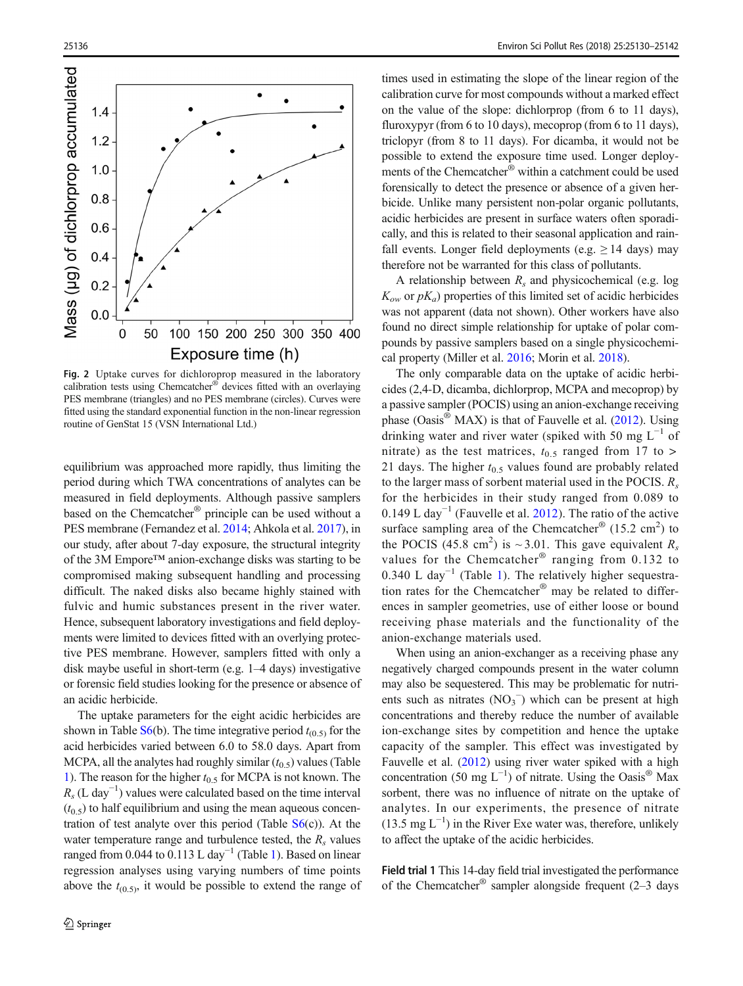<span id="page-6-0"></span>

Fig. 2 Uptake curves for dichloroprop measured in the laboratory calibration tests using Chemcatcher® devices fitted with an overlaying PES membrane (triangles) and no PES membrane (circles). Curves were fitted using the standard exponential function in the non-linear regression routine of GenStat 15 (VSN International Ltd.)

equilibrium was approached more rapidly, thus limiting the period during which TWA concentrations of analytes can be measured in field deployments. Although passive samplers based on the Chemcatcher® principle can be used without a PES membrane (Fernandez et al. [2014](#page-11-0); Ahkola et al. [2017\)](#page-11-0), in our study, after about 7-day exposure, the structural integrity of the 3M Empore™ anion-exchange disks was starting to be compromised making subsequent handling and processing difficult. The naked disks also became highly stained with fulvic and humic substances present in the river water. Hence, subsequent laboratory investigations and field deployments were limited to devices fitted with an overlying protective PES membrane. However, samplers fitted with only a disk maybe useful in short-term (e.g. 1–4 days) investigative or forensic field studies looking for the presence or absence of an acidic herbicide.

The uptake parameters for the eight acidic herbicides are shown in Table  $S_6(b)$ . The time integrative period  $t_{(0,5)}$  for the acid herbicides varied between 6.0 to 58.0 days. Apart from MCPA, all the analytes had roughly similar  $(t_{0.5})$  values (Table [1\)](#page-5-0). The reason for the higher  $t_{0.5}$  for MCPA is not known. The  $R_s$  (L day<sup>-1</sup>) values were calculated based on the time interval  $(t_{0.5})$  to half equilibrium and using the mean aqueous concentration of test analyte over this period (Table  $S_6(c)$ ). At the water temperature range and turbulence tested, the  $R_s$  values ranged from 0.044 to 0.113 L day<sup>-1</sup> (Table [1\)](#page-5-0). Based on linear regression analyses using varying numbers of time points above the  $t_{(0.5)}$ , it would be possible to extend the range of

times used in estimating the slope of the linear region of the calibration curve for most compounds without a marked effect on the value of the slope: dichlorprop (from 6 to 11 days), fluroxypyr (from 6 to 10 days), mecoprop (from 6 to 11 days), triclopyr (from 8 to 11 days). For dicamba, it would not be possible to extend the exposure time used. Longer deployments of the Chemcatcher® within a catchment could be used forensically to detect the presence or absence of a given herbicide. Unlike many persistent non-polar organic pollutants, acidic herbicides are present in surface waters often sporadically, and this is related to their seasonal application and rainfall events. Longer field deployments (e.g.  $\geq$  14 days) may therefore not be warranted for this class of pollutants.

A relationship between  $R_s$  and physicochemical (e.g. log  $K_{ow}$  or  $pK_a$ ) properties of this limited set of acidic herbicides was not apparent (data not shown). Other workers have also found no direct simple relationship for uptake of polar compounds by passive samplers based on a single physicochemical property (Miller et al. [2016](#page-12-0); Morin et al. [2018\)](#page-12-0).

The only comparable data on the uptake of acidic herbicides (2,4-D, dicamba, dichlorprop, MCPA and mecoprop) by a passive sampler (POCIS) using an anion-exchange receiving phase (Oasis® MAX) is that of Fauvelle et al. ([2012](#page-11-0)). Using drinking water and river water (spiked with 50 mg  $L^{-1}$  of nitrate) as the test matrices,  $t_{0.5}$  ranged from 17 to > 21 days. The higher  $t_{0.5}$  values found are probably related to the larger mass of sorbent material used in the POCIS.  $R_s$ for the herbicides in their study ranged from 0.089 to 0.149 L day<sup>-1</sup> (Fauvelle et al. [2012\)](#page-11-0). The ratio of the active surface sampling area of the Chemcatcher®  $(15.2 \text{ cm}^2)$  to the POCIS (45.8 cm<sup>2</sup>) is ~3.01. This gave equivalent  $R_s$ values for the Chemcatcher<sup>®</sup> ranging from 0.132 to 0.340 L day<sup>-[1](#page-5-0)</sup> (Table 1). The relatively higher sequestration rates for the Chemcatcher® may be related to differences in sampler geometries, use of either loose or bound receiving phase materials and the functionality of the anion-exchange materials used.

When using an anion-exchanger as a receiving phase any negatively charged compounds present in the water column may also be sequestered. This may be problematic for nutrients such as nitrates  $(NO<sub>3</sub><sup>-</sup>)$  which can be present at high concentrations and thereby reduce the number of available ion-exchange sites by competition and hence the uptake capacity of the sampler. This effect was investigated by Fauvelle et al. [\(2012\)](#page-11-0) using river water spiked with a high concentration (50 mg  $L^{-1}$ ) of nitrate. Using the Oasis<sup>®</sup> Max sorbent, there was no influence of nitrate on the uptake of analytes. In our experiments, the presence of nitrate (13.5 mg  $L^{-1}$ ) in the River Exe water was, therefore, unlikely to affect the uptake of the acidic herbicides.

Field trial 1 This 14-day field trial investigated the performance of the Chemcatcher<sup>®</sup> sampler alongside frequent  $(2-3)$  days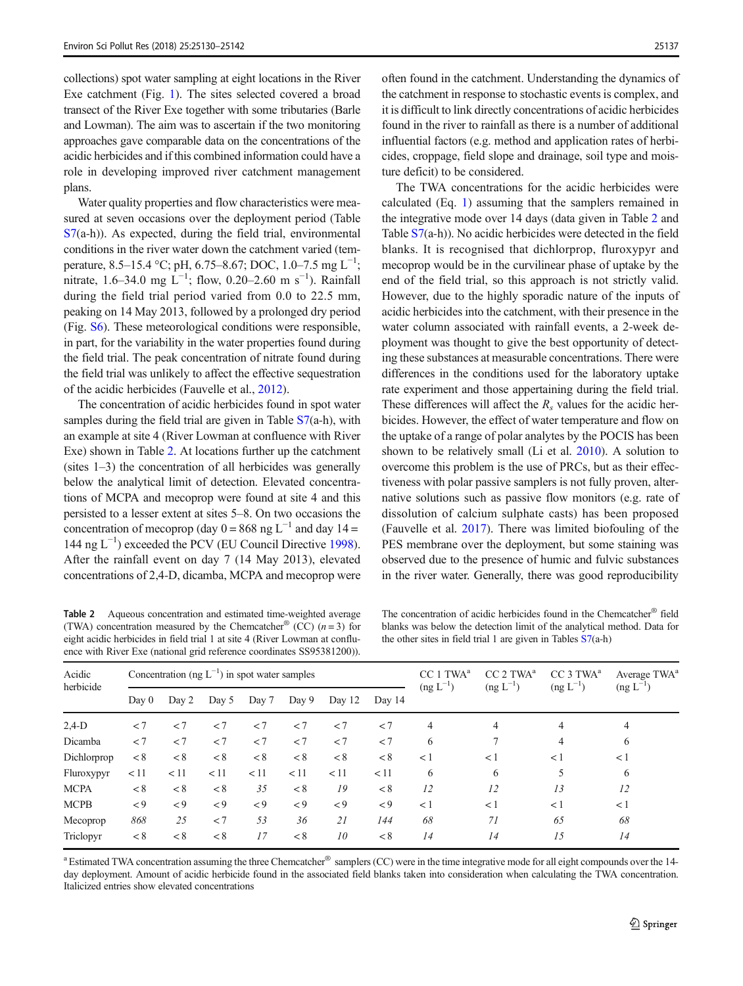collections) spot water sampling at eight locations in the River Exe catchment (Fig. [1\)](#page-3-0). The sites selected covered a broad transect of the River Exe together with some tributaries (Barle and Lowman). The aim was to ascertain if the two monitoring approaches gave comparable data on the concentrations of the acidic herbicides and if this combined information could have a role in developing improved river catchment management plans.

Water quality properties and flow characteristics were measured at seven occasions over the deployment period (Table S7(a-h)). As expected, during the field trial, environmental conditions in the river water down the catchment varied (temperature, 8.5–15.4 °C; pH, 6.75–8.67; DOC, 1.0–7.5 mg L<sup>-1</sup>; nitrate, 1.6–34.0 mg L<sup>-1</sup>; flow, 0.20–2.60 m s<sup>-1</sup>). Rainfall during the field trial period varied from 0.0 to 22.5 mm, peaking on 14 May 2013, followed by a prolonged dry period (Fig. S6). These meteorological conditions were responsible, in part, for the variability in the water properties found during the field trial. The peak concentration of nitrate found during the field trial was unlikely to affect the effective sequestration of the acidic herbicides (Fauvelle et al., [2012\)](#page-11-0).

The concentration of acidic herbicides found in spot water samples during the field trial are given in Table  $S7(a-h)$ , with an example at site 4 (River Lowman at confluence with River Exe) shown in Table 2. At locations further up the catchment (sites 1–3) the concentration of all herbicides was generally below the analytical limit of detection. Elevated concentrations of MCPA and mecoprop were found at site 4 and this persisted to a lesser extent at sites 5–8. On two occasions the concentration of mecoprop (day  $0 = 868$  ng L<sup>-1</sup> and day 14 = 144 ng L−<sup>1</sup> ) exceeded the PCV (EU Council Directive [1998\)](#page-11-0). After the rainfall event on day 7 (14 May 2013), elevated concentrations of 2,4-D, dicamba, MCPA and mecoprop were

Table 2 Aqueous concentration and estimated time-weighted average (TWA) concentration measured by the Chemcatcher<sup>®</sup> (CC)  $(n=3)$  for eight acidic herbicides in field trial 1 at site 4 (River Lowman at confluence with River Exe (national grid reference coordinates SS95381200)).

often found in the catchment. Understanding the dynamics of the catchment in response to stochastic events is complex, and it is difficult to link directly concentrations of acidic herbicides found in the river to rainfall as there is a number of additional influential factors (e.g. method and application rates of herbicides, croppage, field slope and drainage, soil type and moisture deficit) to be considered.

The TWA concentrations for the acidic herbicides were calculated (Eq. [1](#page-4-0)) assuming that the samplers remained in the integrative mode over 14 days (data given in Table 2 and Table S7(a-h)). No acidic herbicides were detected in the field blanks. It is recognised that dichlorprop, fluroxypyr and mecoprop would be in the curvilinear phase of uptake by the end of the field trial, so this approach is not strictly valid. However, due to the highly sporadic nature of the inputs of acidic herbicides into the catchment, with their presence in the water column associated with rainfall events, a 2-week deployment was thought to give the best opportunity of detecting these substances at measurable concentrations. There were differences in the conditions used for the laboratory uptake rate experiment and those appertaining during the field trial. These differences will affect the  $R<sub>s</sub>$  values for the acidic herbicides. However, the effect of water temperature and flow on the uptake of a range of polar analytes by the POCIS has been shown to be relatively small (Li et al. [2010\)](#page-12-0). A solution to overcome this problem is the use of PRCs, but as their effectiveness with polar passive samplers is not fully proven, alternative solutions such as passive flow monitors (e.g. rate of dissolution of calcium sulphate casts) has been proposed (Fauvelle et al. [2017](#page-11-0)). There was limited biofouling of the PES membrane over the deployment, but some staining was observed due to the presence of humic and fulvic substances in the river water. Generally, there was good reproducibility

The concentration of acidic herbicides found in the Chemcatcher® field blanks was below the detection limit of the analytical method. Data for the other sites in field trial 1 are given in Tables S7(a-h)

| Acidic<br>herbicide<br>Day $0$ | Concentration (ng $L^{-1}$ ) in spot water samples |         |         |         |         | TWA <sup>a</sup><br>CC | CC 2 TWA <sup>a</sup> | CC 3 TWA <sup>a</sup> | Average TWA <sup>a</sup> |                       |                       |
|--------------------------------|----------------------------------------------------|---------|---------|---------|---------|------------------------|-----------------------|-----------------------|--------------------------|-----------------------|-----------------------|
|                                |                                                    | Day 2   | Day 5   | Day 7   | Day 9   | Day 12                 | Day 14                | $(\text{ng } L^{-1})$ | $(\text{ng } L^{-1})$    | $(\text{ng } L^{-1})$ | $(\text{ng } L^{-1})$ |
| $2,4-D$                        | < 7                                                | < 7     | $\lt$ 7 | < 7     | < 7     | $\lt$ 7                | $\lt$ 7               | 4                     | 4                        | 4                     | 4                     |
| Dicamba                        | < 7                                                | < 7     | < 7     | < 7     | < 7     | < 7                    | $\lt$ 7               | 6                     | 7                        | 4                     | 6                     |
| Dichlorprop                    | < 8                                                | < 8     | < 8     | < 8     | < 8     | < 8                    | < 8                   | <1                    | <1                       | $\lt 1$               | $\lt 1$               |
| Fluroxypyr                     | < 11                                               | < 11    | < 11    | < 11    | < 11    | < 11                   | < 11                  | 6                     | 6                        | 5                     | 6                     |
| <b>MCPA</b>                    | < 8                                                | < 8     | < 8     | 35      | < 8     | 19                     | < 8                   | 12                    | 12                       | 13                    | 12                    |
| <b>MCPB</b>                    | $\lt$ 9                                            | $\lt$ 9 | $\lt$ 9 | $\lt$ 9 | $\lt$ 9 | $\lt$ 9                | $\leq 9$              | <1                    | < 1                      | $\lt 1$               | < 1                   |
| Mecoprop                       | 868                                                | 25      | < 7     | 53      | 36      | 21                     | 144                   | 68                    | 71                       | 65                    | 68                    |
| Triclopyr                      | < 8                                                | < 8     | < 8     | 17      | < 8     | 10                     | < 8                   | 14                    | 14                       | 15                    | 14                    |

<sup>a</sup> Estimated TWA concentration assuming the three Chemcatcher® samplers (CC) were in the time integrative mode for all eight compounds over the 14day deployment. Amount of acidic herbicide found in the associated field blanks taken into consideration when calculating the TWA concentration. Italicized entries show elevated concentrations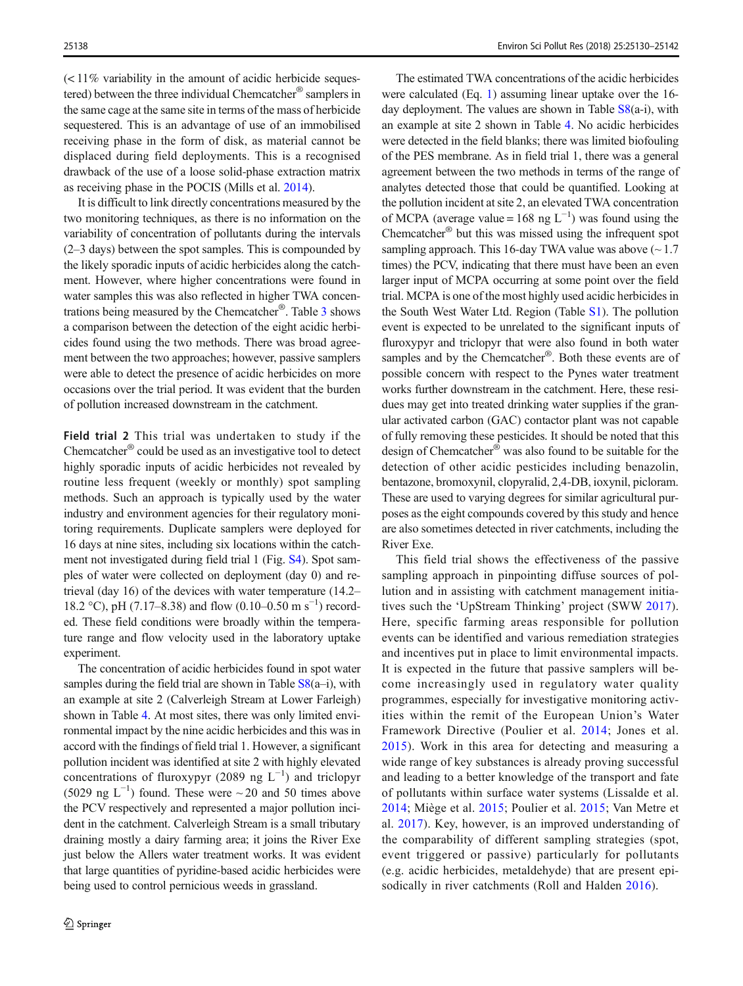$\leq$  11% variability in the amount of acidic herbicide sequestered) between the three individual Chemcatcher® samplers in the same cage at the same site in terms of the mass of herbicide sequestered. This is an advantage of use of an immobilised receiving phase in the form of disk, as material cannot be displaced during field deployments. This is a recognised drawback of the use of a loose solid-phase extraction matrix as receiving phase in the POCIS (Mills et al. [2014](#page-12-0)).

It is difficult to link directly concentrations measured by the two monitoring techniques, as there is no information on the variability of concentration of pollutants during the intervals (2–3 days) between the spot samples. This is compounded by the likely sporadic inputs of acidic herbicides along the catchment. However, where higher concentrations were found in water samples this was also reflected in higher TWA concentrations being measured by the Chemcatcher®. Table [3](#page-9-0) shows a comparison between the detection of the eight acidic herbicides found using the two methods. There was broad agreement between the two approaches; however, passive samplers were able to detect the presence of acidic herbicides on more occasions over the trial period. It was evident that the burden of pollution increased downstream in the catchment.

Field trial 2 This trial was undertaken to study if the Chemcatcher® could be used as an investigative tool to detect highly sporadic inputs of acidic herbicides not revealed by routine less frequent (weekly or monthly) spot sampling methods. Such an approach is typically used by the water industry and environment agencies for their regulatory monitoring requirements. Duplicate samplers were deployed for 16 days at nine sites, including six locations within the catchment not investigated during field trial 1 (Fig. S4). Spot samples of water were collected on deployment (day 0) and retrieval (day 16) of the devices with water temperature (14.2– 18.2 °C), pH (7.17–8.38) and flow (0.10–0.50 m s<sup>-1</sup>) recorded. These field conditions were broadly within the temperature range and flow velocity used in the laboratory uptake experiment.

The concentration of acidic herbicides found in spot water samples during the field trial are shown in Table  $S8(a-i)$ , with an example at site 2 (Calverleigh Stream at Lower Farleigh) shown in Table [4](#page-10-0). At most sites, there was only limited environmental impact by the nine acidic herbicides and this was in accord with the findings of field trial 1. However, a significant pollution incident was identified at site 2 with highly elevated concentrations of fluroxypyr (2089 ng  $L^{-1}$ ) and triclopyr (5029 ng L<sup>-1</sup>) found. These were  $\sim$  20 and 50 times above the PCV respectively and represented a major pollution incident in the catchment. Calverleigh Stream is a small tributary draining mostly a dairy farming area; it joins the River Exe just below the Allers water treatment works. It was evident that large quantities of pyridine-based acidic herbicides were being used to control pernicious weeds in grassland.

The estimated TWA concentrations of the acidic herbicides were calculated (Eq. [1](#page-4-0)) assuming linear uptake over the 16 day deployment. The values are shown in Table S8(a-i), with an example at site 2 shown in Table [4.](#page-10-0) No acidic herbicides were detected in the field blanks; there was limited biofouling of the PES membrane. As in field trial 1, there was a general agreement between the two methods in terms of the range of analytes detected those that could be quantified. Looking at the pollution incident at site 2, an elevated TWA concentration of MCPA (average value = 168 ng  $L^{-1}$ ) was found using the Chemcatcher® but this was missed using the infrequent spot sampling approach. This 16-day TWA value was above  $(\sim 1.7)$ times) the PCV, indicating that there must have been an even larger input of MCPA occurring at some point over the field trial. MCPA is one of the most highly used acidic herbicides in the South West Water Ltd. Region (Table S1). The pollution event is expected to be unrelated to the significant inputs of fluroxypyr and triclopyr that were also found in both water samples and by the Chemcatcher<sup>®</sup>. Both these events are of possible concern with respect to the Pynes water treatment works further downstream in the catchment. Here, these residues may get into treated drinking water supplies if the granular activated carbon (GAC) contactor plant was not capable of fully removing these pesticides. It should be noted that this design of Chemcatcher® was also found to be suitable for the detection of other acidic pesticides including benazolin, bentazone, bromoxynil, clopyralid, 2,4-DB, ioxynil, picloram. These are used to varying degrees for similar agricultural purposes as the eight compounds covered by this study and hence are also sometimes detected in river catchments, including the River Exe.

This field trial shows the effectiveness of the passive sampling approach in pinpointing diffuse sources of pollution and in assisting with catchment management initiatives such the 'UpStream Thinking' project (SWW [2017](#page-12-0)). Here, specific farming areas responsible for pollution events can be identified and various remediation strategies and incentives put in place to limit environmental impacts. It is expected in the future that passive samplers will become increasingly used in regulatory water quality programmes, especially for investigative monitoring activities within the remit of the European Union's Water Framework Directive (Poulier et al. [2014](#page-12-0); Jones et al. [2015\)](#page-12-0). Work in this area for detecting and measuring a wide range of key substances is already proving successful and leading to a better knowledge of the transport and fate of pollutants within surface water systems (Lissalde et al. [2014](#page-12-0); Miège et al. [2015](#page-12-0); Poulier et al. [2015;](#page-12-0) Van Metre et al. [2017\)](#page-12-0). Key, however, is an improved understanding of the comparability of different sampling strategies (spot, event triggered or passive) particularly for pollutants (e.g. acidic herbicides, metaldehyde) that are present epi-sodically in river catchments (Roll and Halden [2016](#page-12-0)).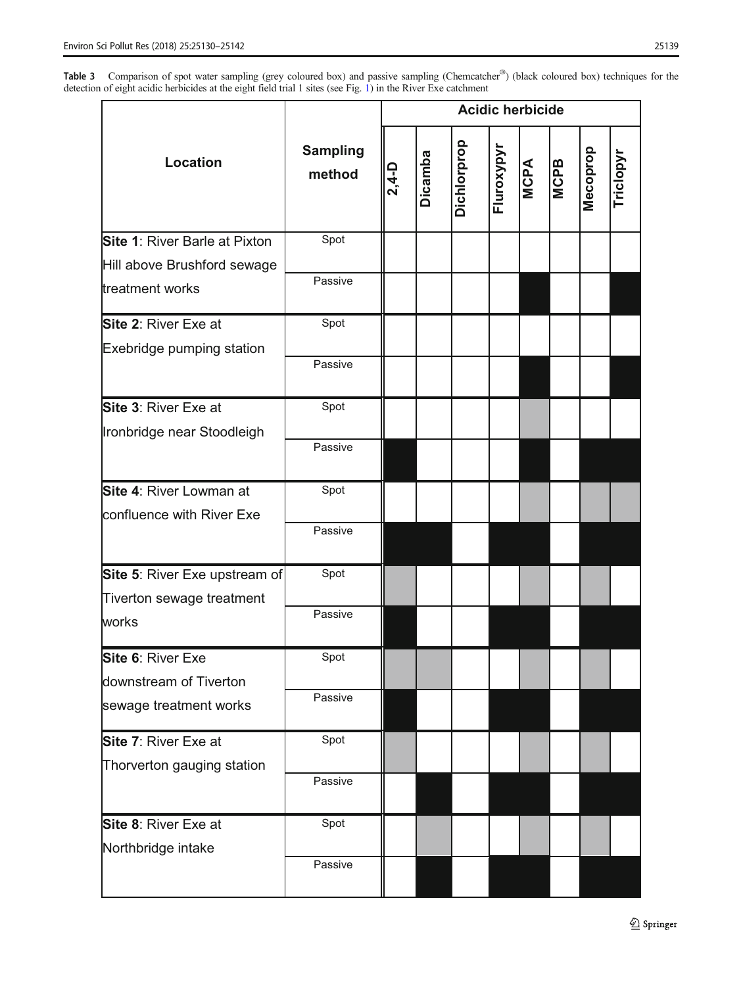<span id="page-9-0"></span>Table 3 Comparison of spot water sampling (grey coloured box) and passive sampling (Chemcatcher®) (black coloured box) techniques for the detection of eight acidic herbicides at the eight field trial 1 sites (see Fig. [1\)](#page-3-0) in the River Exe catchment

|                               |                           | <b>Acidic herbicide</b> |         |             |            |             |             |          |          |
|-------------------------------|---------------------------|-------------------------|---------|-------------|------------|-------------|-------------|----------|----------|
| <b>Location</b>               | <b>Sampling</b><br>method | $2,4-$ D                | Dicamba | Dichlorprop | Fluroxypyr | <b>MCPA</b> | <b>MCPB</b> | Mecoprop | Triclopy |
| Site 1: River Barle at Pixton | Spot                      |                         |         |             |            |             |             |          |          |
| Hill above Brushford sewage   |                           |                         |         |             |            |             |             |          |          |
| treatment works               | Passive                   |                         |         |             |            |             |             |          |          |
| <b>Site 2: River Exe at</b>   | Spot                      |                         |         |             |            |             |             |          |          |
| Exebridge pumping station     |                           |                         |         |             |            |             |             |          |          |
|                               | Passive                   |                         |         |             |            |             |             |          |          |
| Site 3: River Exe at          | Spot                      |                         |         |             |            |             |             |          |          |
| Ironbridge near Stoodleigh    |                           |                         |         |             |            |             |             |          |          |
|                               | Passive                   |                         |         |             |            |             |             |          |          |
| Site 4: River Lowman at       | Spot                      |                         |         |             |            |             |             |          |          |
| confluence with River Exe     |                           |                         |         |             |            |             |             |          |          |
|                               | Passive                   |                         |         |             |            |             |             |          |          |
| Site 5: River Exe upstream of | Spot                      |                         |         |             |            |             |             |          |          |
| Tiverton sewage treatment     |                           |                         |         |             |            |             |             |          |          |
| works                         | Passive                   |                         |         |             |            |             |             |          |          |
| Site 6: River Exe             | Spot                      |                         |         |             |            |             |             |          |          |
| downstream of Tiverton        |                           |                         |         |             |            |             |             |          |          |
| sewage treatment works        | Passive                   |                         |         |             |            |             |             |          |          |
| Site 7: River Exe at          | Spot                      |                         |         |             |            |             |             |          |          |
| Thorverton gauging station    |                           |                         |         |             |            |             |             |          |          |
|                               | Passive                   |                         |         |             |            |             |             |          |          |
| Site 8: River Exe at          | Spot                      |                         |         |             |            |             |             |          |          |
| Northbridge intake            |                           |                         |         |             |            |             |             |          |          |
|                               | Passive                   |                         |         |             |            |             |             |          |          |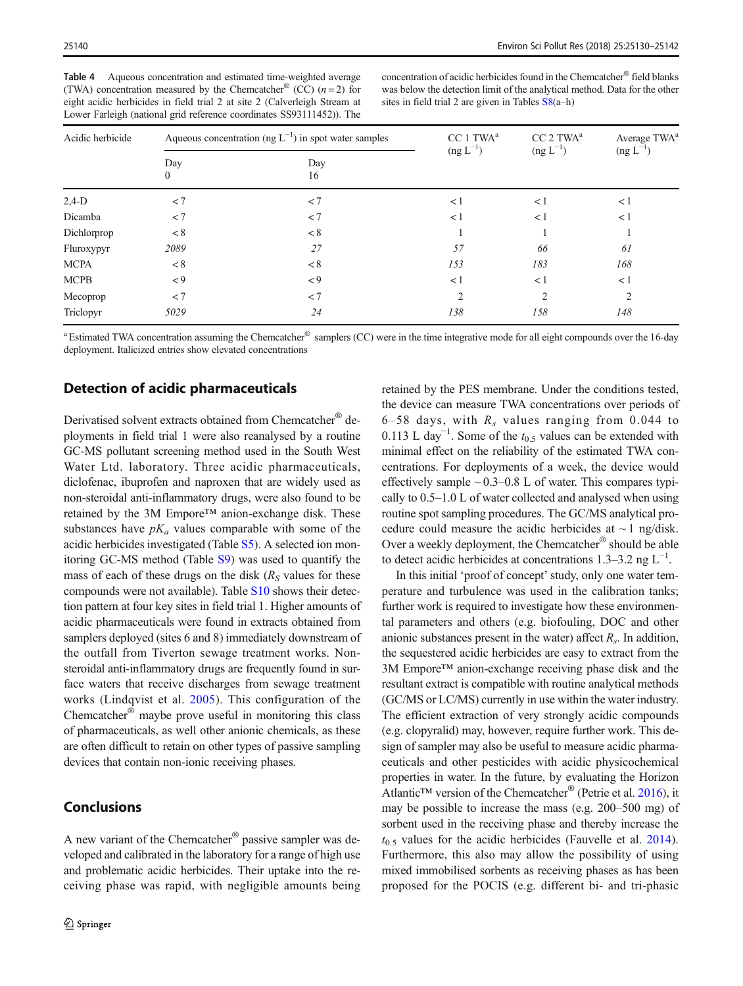<span id="page-10-0"></span>

| Table 4 | Aqueous concentration and estimated time-weighted average                     |
|---------|-------------------------------------------------------------------------------|
|         | (TWA) concentration measured by the Chemcatcher <sup>®</sup> (CC) $(n=2)$ for |
|         | eight acidic herbicides in field trial 2 at site 2 (Calverleigh Stream at     |
|         | Lower Farleigh (national grid reference coordinates SS93111452)). The         |

concentration of acidic herbicides found in the Chemcatcher® field blanks was below the detection limit of the analytical method. Data for the other sites in field trial 2 are given in Tables S8(a–h)

| Acidic herbicide |                     | Aqueous concentration (ng $L^{-1}$ ) in spot water samples | CC 1 TWA <sup>a</sup> | CC 2 TWA <sup>a</sup> | Average TWA <sup>a</sup> |
|------------------|---------------------|------------------------------------------------------------|-----------------------|-----------------------|--------------------------|
|                  | Day<br>$\mathbf{0}$ | Day<br>16                                                  | $(\text{ng } L^{-1})$ | $(\text{ng } L^{-1})$ | $(\text{ng } L^{-1})$    |
| $2,4-D$          | < 7                 | < 7                                                        | < 1                   | < 1                   | < 1                      |
| Dicamba          | < 7                 | < 7                                                        | $\lt 1$               | < 1                   | < 1                      |
| Dichlorprop      | < 8                 | < 8                                                        |                       |                       |                          |
| Fluroxypyr       | 2089                | 27                                                         | 57                    | 66                    | 61                       |
| <b>MCPA</b>      | < 8                 | < 8                                                        | 153                   | 183                   | 168                      |
| <b>MCPB</b>      | $\leq 9$            | $\leq 9$                                                   | < 1                   | <1                    | < 1                      |
| Mecoprop         | < 7                 | < 7                                                        | $\overline{c}$        | $\overline{2}$        | 2                        |
| Triclopyr        | 5029                | 24                                                         | 138                   | 158                   | 148                      |

<sup>a</sup> Estimated TWA concentration assuming the Chemcatcher® samplers (CC) were in the time integrative mode for all eight compounds over the 16-day deployment. Italicized entries show elevated concentrations

## Detection of acidic pharmaceuticals

Derivatised solvent extracts obtained from Chemcatcher® deployments in field trial 1 were also reanalysed by a routine GC-MS pollutant screening method used in the South West Water Ltd. laboratory. Three acidic pharmaceuticals, diclofenac, ibuprofen and naproxen that are widely used as non-steroidal anti-inflammatory drugs, were also found to be retained by the 3M Empore™ anion-exchange disk. These substances have  $pK_a$  values comparable with some of the acidic herbicides investigated (Table S5). A selected ion monitoring GC-MS method (Table S9) was used to quantify the mass of each of these drugs on the disk  $(R<sub>S</sub>$  values for these compounds were not available). Table S10 shows their detection pattern at four key sites in field trial 1. Higher amounts of acidic pharmaceuticals were found in extracts obtained from samplers deployed (sites 6 and 8) immediately downstream of the outfall from Tiverton sewage treatment works. Nonsteroidal anti-inflammatory drugs are frequently found in surface waters that receive discharges from sewage treatment works (Lindqvist et al. [2005\)](#page-12-0). This configuration of the Chemcatcher® maybe prove useful in monitoring this class of pharmaceuticals, as well other anionic chemicals, as these are often difficult to retain on other types of passive sampling devices that contain non-ionic receiving phases.

#### Conclusions

A new variant of the Chemcatcher® passive sampler was developed and calibrated in the laboratory for a range of high use and problematic acidic herbicides. Their uptake into the receiving phase was rapid, with negligible amounts being retained by the PES membrane. Under the conditions tested, the device can measure TWA concentrations over periods of 6–58 days, with  $R_s$  values ranging from 0.044 to 0.113 L day<sup>-1</sup>. Some of the  $t_{0.5}$  values can be extended with minimal effect on the reliability of the estimated TWA concentrations. For deployments of a week, the device would effectively sample  $\sim 0.3 - 0.8$  L of water. This compares typically to 0.5–1.0 L of water collected and analysed when using routine spot sampling procedures. The GC/MS analytical procedure could measure the acidic herbicides at  $\sim$  1 ng/disk. Over a weekly deployment, the Chemcatcher® should be able to detect acidic herbicides at concentrations 1.3–3.2 ng  $L^{-1}$ .

In this initial 'proof of concept'study, only one water temperature and turbulence was used in the calibration tanks; further work is required to investigate how these environmental parameters and others (e.g. biofouling, DOC and other anionic substances present in the water) affect  $R<sub>s</sub>$ . In addition, the sequestered acidic herbicides are easy to extract from the 3M Empore™ anion-exchange receiving phase disk and the resultant extract is compatible with routine analytical methods (GC/MS or LC/MS) currently in use within the water industry. The efficient extraction of very strongly acidic compounds (e.g. clopyralid) may, however, require further work. This design of sampler may also be useful to measure acidic pharmaceuticals and other pesticides with acidic physicochemical properties in water. In the future, by evaluating the Horizon Atlantic<sup>™</sup> version of the Chemcatcher<sup>®</sup> (Petrie et al. [2016](#page-12-0)), it may be possible to increase the mass (e.g. 200–500 mg) of sorbent used in the receiving phase and thereby increase the  $t_{0.5}$  values for the acidic herbicides (Fauvelle et al. [2014\)](#page-11-0). Furthermore, this also may allow the possibility of using mixed immobilised sorbents as receiving phases as has been proposed for the POCIS (e.g. different bi- and tri-phasic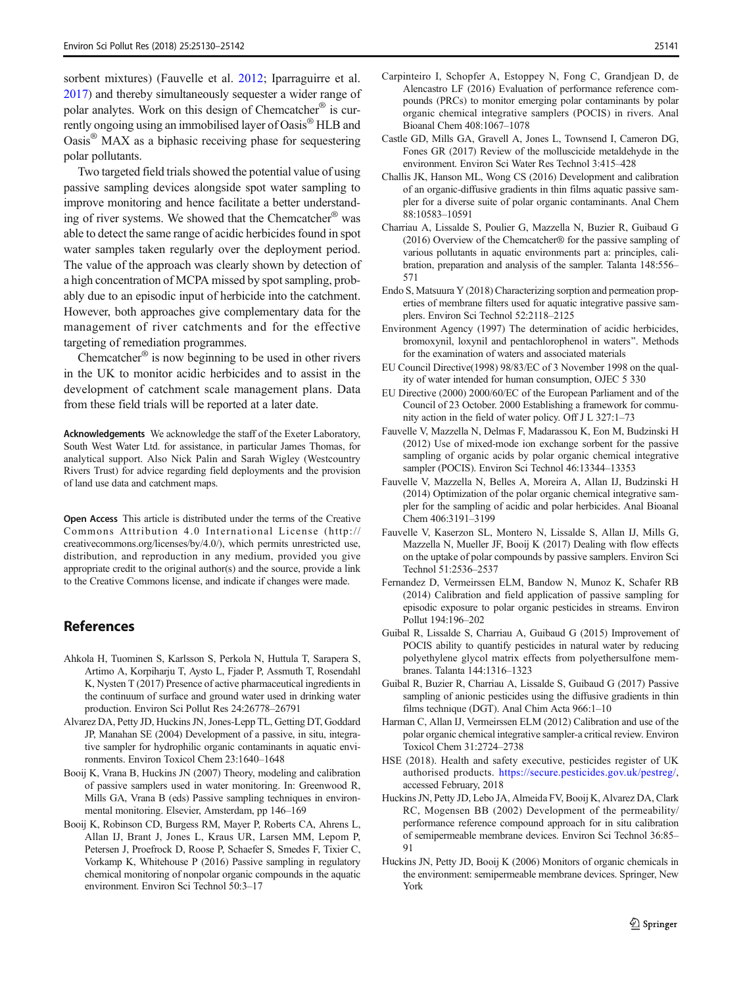<span id="page-11-0"></span>sorbent mixtures) (Fauvelle et al. 2012; Iparraguirre et al. [2017\)](#page-12-0) and thereby simultaneously sequester a wider range of polar analytes. Work on this design of Chemcatcher® is currently ongoing using an immobilised layer of Oasis® HLB and Oasis® MAX as a biphasic receiving phase for sequestering polar pollutants.

Two targeted field trials showed the potential value of using passive sampling devices alongside spot water sampling to improve monitoring and hence facilitate a better understanding of river systems. We showed that the Chemcatcher<sup>®</sup> was able to detect the same range of acidic herbicides found in spot water samples taken regularly over the deployment period. The value of the approach was clearly shown by detection of a high concentration of MCPA missed by spot sampling, probably due to an episodic input of herbicide into the catchment. However, both approaches give complementary data for the management of river catchments and for the effective targeting of remediation programmes.

Chemcatcher<sup>®</sup> is now beginning to be used in other rivers in the UK to monitor acidic herbicides and to assist in the development of catchment scale management plans. Data from these field trials will be reported at a later date.

Acknowledgements We acknowledge the staff of the Exeter Laboratory, South West Water Ltd. for assistance, in particular James Thomas, for analytical support. Also Nick Palin and Sarah Wigley (Westcountry Rivers Trust) for advice regarding field deployments and the provision of land use data and catchment maps.

Open Access This article is distributed under the terms of the Creative Commons Attribution 4.0 International License (http:// creativecommons.org/licenses/by/4.0/), which permits unrestricted use, distribution, and reproduction in any medium, provided you give appropriate credit to the original author(s) and the source, provide a link to the Creative Commons license, and indicate if changes were made.

#### **References**

- Ahkola H, Tuominen S, Karlsson S, Perkola N, Huttula T, Sarapera S, Artimo A, Korpiharju T, Aysto L, Fjader P, Assmuth T, Rosendahl K, Nysten T (2017) Presence of active pharmaceutical ingredients in the continuum of surface and ground water used in drinking water production. Environ Sci Pollut Res 24:26778–26791
- Alvarez DA, Petty JD, Huckins JN, Jones-Lepp TL, Getting DT, Goddard JP, Manahan SE (2004) Development of a passive, in situ, integrative sampler for hydrophilic organic contaminants in aquatic environments. Environ Toxicol Chem 23:1640–1648
- Booij K, Vrana B, Huckins JN (2007) Theory, modeling and calibration of passive samplers used in water monitoring. In: Greenwood R, Mills GA, Vrana B (eds) Passive sampling techniques in environmental monitoring. Elsevier, Amsterdam, pp 146–169
- Booij K, Robinson CD, Burgess RM, Mayer P, Roberts CA, Ahrens L, Allan IJ, Brant J, Jones L, Kraus UR, Larsen MM, Lepom P, Petersen J, Proefrock D, Roose P, Schaefer S, Smedes F, Tixier C, Vorkamp K, Whitehouse P (2016) Passive sampling in regulatory chemical monitoring of nonpolar organic compounds in the aquatic environment. Environ Sci Technol 50:3–17
- Carpinteiro I, Schopfer A, Estoppey N, Fong C, Grandjean D, de Alencastro LF (2016) Evaluation of performance reference compounds (PRCs) to monitor emerging polar contaminants by polar organic chemical integrative samplers (POCIS) in rivers. Anal Bioanal Chem 408:1067–1078
- Castle GD, Mills GA, Gravell A, Jones L, Townsend I, Cameron DG, Fones GR (2017) Review of the molluscicide metaldehyde in the environment. Environ Sci Water Res Technol 3:415–428
- Challis JK, Hanson ML, Wong CS (2016) Development and calibration of an organic-diffusive gradients in thin films aquatic passive sampler for a diverse suite of polar organic contaminants. Anal Chem 88:10583–10591
- Charriau A, Lissalde S, Poulier G, Mazzella N, Buzier R, Guibaud G (2016) Overview of the Chemcatcher® for the passive sampling of various pollutants in aquatic environments part a: principles, calibration, preparation and analysis of the sampler. Talanta 148:556– 571
- Endo S, Matsuura Y (2018) Characterizing sorption and permeation properties of membrane filters used for aquatic integrative passive samplers. Environ Sci Technol 52:2118–2125
- Environment Agency (1997) The determination of acidic herbicides, bromoxynil, loxynil and pentachlorophenol in waters^. Methods for the examination of waters and associated materials
- EU Council Directive(1998) 98/83/EC of 3 November 1998 on the quality of water intended for human consumption, OJEC 5 330
- EU Directive (2000) 2000/60/EC of the European Parliament and of the Council of 23 October. 2000 Establishing a framework for community action in the field of water policy. Off J L 327:1–73
- Fauvelle V, Mazzella N, Delmas F, Madarassou K, Eon M, Budzinski H (2012) Use of mixed-mode ion exchange sorbent for the passive sampling of organic acids by polar organic chemical integrative sampler (POCIS). Environ Sci Technol 46:13344–13353
- Fauvelle V, Mazzella N, Belles A, Moreira A, Allan IJ, Budzinski H (2014) Optimization of the polar organic chemical integrative sampler for the sampling of acidic and polar herbicides. Anal Bioanal Chem 406:3191–3199
- Fauvelle V, Kaserzon SL, Montero N, Lissalde S, Allan IJ, Mills G, Mazzella N, Mueller JF, Booij K (2017) Dealing with flow effects on the uptake of polar compounds by passive samplers. Environ Sci Technol 51:2536–2537
- Fernandez D, Vermeirssen ELM, Bandow N, Munoz K, Schafer RB (2014) Calibration and field application of passive sampling for episodic exposure to polar organic pesticides in streams. Environ Pollut 194:196–202
- Guibal R, Lissalde S, Charriau A, Guibaud G (2015) Improvement of POCIS ability to quantify pesticides in natural water by reducing polyethylene glycol matrix effects from polyethersulfone membranes. Talanta 144:1316–1323
- Guibal R, Buzier R, Charriau A, Lissalde S, Guibaud G (2017) Passive sampling of anionic pesticides using the diffusive gradients in thin films technique (DGT). Anal Chim Acta 966:1–10
- Harman C, Allan IJ, Vermeirssen ELM (2012) Calibration and use of the polar organic chemical integrative sampler-a critical review. Environ Toxicol Chem 31:2724–2738
- HSE (2018). Health and safety executive, pesticides register of UK authorised products. <https://secure.pesticides.gov.uk/pestreg/>, accessed February, 2018
- Huckins JN, Petty JD, Lebo JA, Almeida FV, Booij K, Alvarez DA, Clark RC, Mogensen BB (2002) Development of the permeability/ performance reference compound approach for in situ calibration of semipermeable membrane devices. Environ Sci Technol 36:85–  $91$
- Huckins JN, Petty JD, Booij K (2006) Monitors of organic chemicals in the environment: semipermeable membrane devices. Springer, New York